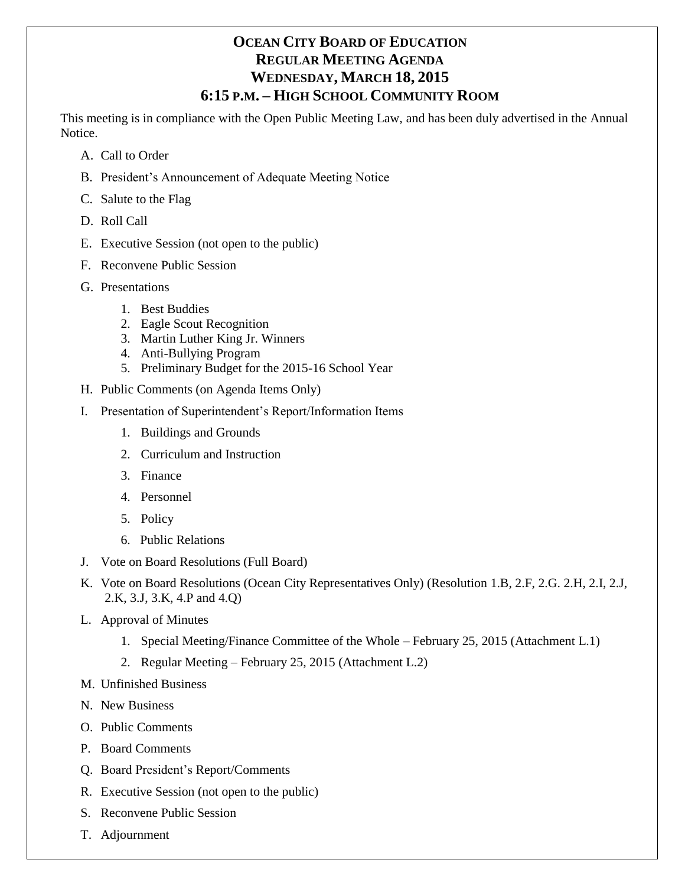# **OCEAN CITY BOARD OF EDUCATION REGULAR MEETING AGENDA WEDNESDAY, MARCH 18, 2015 6:15 P.M. – HIGH SCHOOL COMMUNITY ROOM**

This meeting is in compliance with the Open Public Meeting Law, and has been duly advertised in the Annual Notice.

- A. Call to Order
- B. President's Announcement of Adequate Meeting Notice
- C. Salute to the Flag
- D. Roll Call
- E. Executive Session (not open to the public)
- F. Reconvene Public Session
- G. Presentations
	- 1. Best Buddies
	- 2. Eagle Scout Recognition
	- 3. Martin Luther King Jr. Winners
	- 4. Anti-Bullying Program
	- 5. Preliminary Budget for the 2015-16 School Year
- H. Public Comments (on Agenda Items Only)
- I. Presentation of Superintendent's Report/Information Items
	- 1. Buildings and Grounds
	- 2. Curriculum and Instruction
	- 3. Finance
	- 4. Personnel
	- 5. Policy
	- 6. Public Relations
- J. Vote on Board Resolutions (Full Board)
- K. Vote on Board Resolutions (Ocean City Representatives Only) (Resolution 1.B, 2.F, 2.G. 2.H, 2.I, 2.J, 2.K, 3.J, 3.K, 4.P and 4.Q)
- L. Approval of Minutes
	- 1. Special Meeting/Finance Committee of the Whole February 25, 2015 (Attachment L.1)
	- 2. Regular Meeting February 25, 2015 (Attachment L.2)
- M. Unfinished Business
- N. New Business
- O. Public Comments
- P. Board Comments
- Q. Board President's Report/Comments
- R. Executive Session (not open to the public)
- S. Reconvene Public Session
- T. Adjournment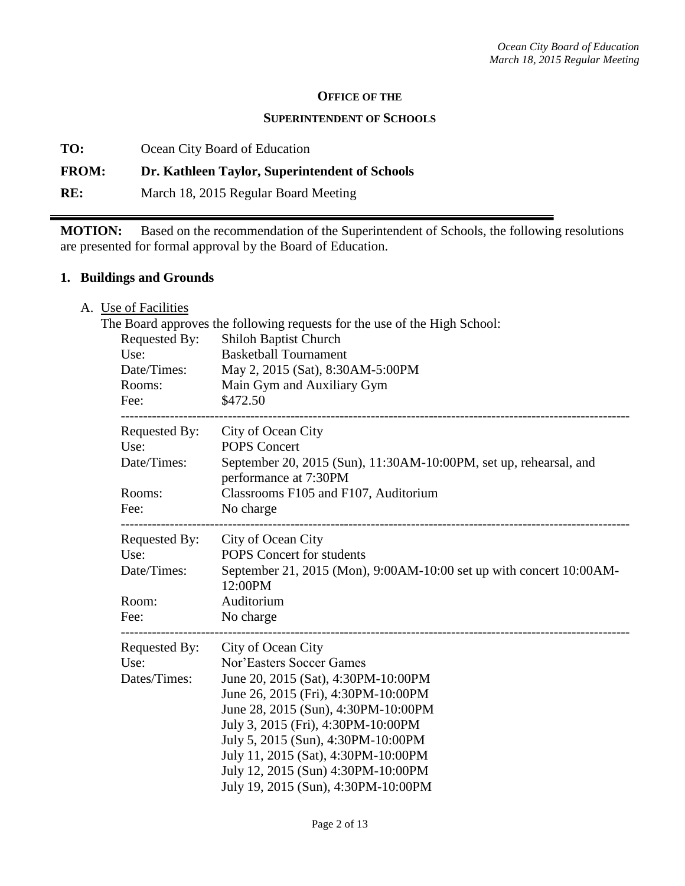#### **OFFICE OF THE**

#### **SUPERINTENDENT OF SCHOOLS**

**TO:** Ocean City Board of Education

# **FROM: Dr. Kathleen Taylor, Superintendent of Schools**

**RE:** March 18, 2015 Regular Board Meeting

**MOTION:** Based on the recommendation of the Superintendent of Schools, the following resolutions are presented for formal approval by the Board of Education.

### **1. Buildings and Grounds**

A. Use of Facilities

| Requested By:<br>Use:<br>Date/Times:<br>Rooms:<br>Fee: | The Board approves the following requests for the use of the High School:<br>Shiloh Baptist Church<br><b>Basketball Tournament</b><br>May 2, 2015 (Sat), 8:30AM-5:00PM<br>Main Gym and Auxiliary Gym<br>\$472.50                                                                                                                                                    |
|--------------------------------------------------------|---------------------------------------------------------------------------------------------------------------------------------------------------------------------------------------------------------------------------------------------------------------------------------------------------------------------------------------------------------------------|
| Requested By:<br>Use:<br>Date/Times:                   | City of Ocean City<br><b>POPS Concert</b><br>September 20, 2015 (Sun), 11:30AM-10:00PM, set up, rehearsal, and<br>performance at 7:30PM                                                                                                                                                                                                                             |
| Rooms:<br>Fee:                                         | Classrooms F105 and F107, Auditorium<br>No charge                                                                                                                                                                                                                                                                                                                   |
| Requested By:<br>Use:<br>Date/Times:                   | City of Ocean City<br><b>POPS</b> Concert for students<br>September 21, 2015 (Mon), 9:00AM-10:00 set up with concert 10:00AM-<br>12:00PM                                                                                                                                                                                                                            |
| Room:<br>Fee:                                          | Auditorium<br>No charge                                                                                                                                                                                                                                                                                                                                             |
| Requested By:<br>Use:<br>Dates/Times:                  | City of Ocean City<br>Nor'Easters Soccer Games<br>June 20, 2015 (Sat), 4:30PM-10:00PM<br>June 26, 2015 (Fri), 4:30PM-10:00PM<br>June 28, 2015 (Sun), 4:30PM-10:00PM<br>July 3, 2015 (Fri), 4:30PM-10:00PM<br>July 5, 2015 (Sun), 4:30PM-10:00PM<br>July 11, 2015 (Sat), 4:30PM-10:00PM<br>July 12, 2015 (Sun) 4:30PM-10:00PM<br>July 19, 2015 (Sun), 4:30PM-10:00PM |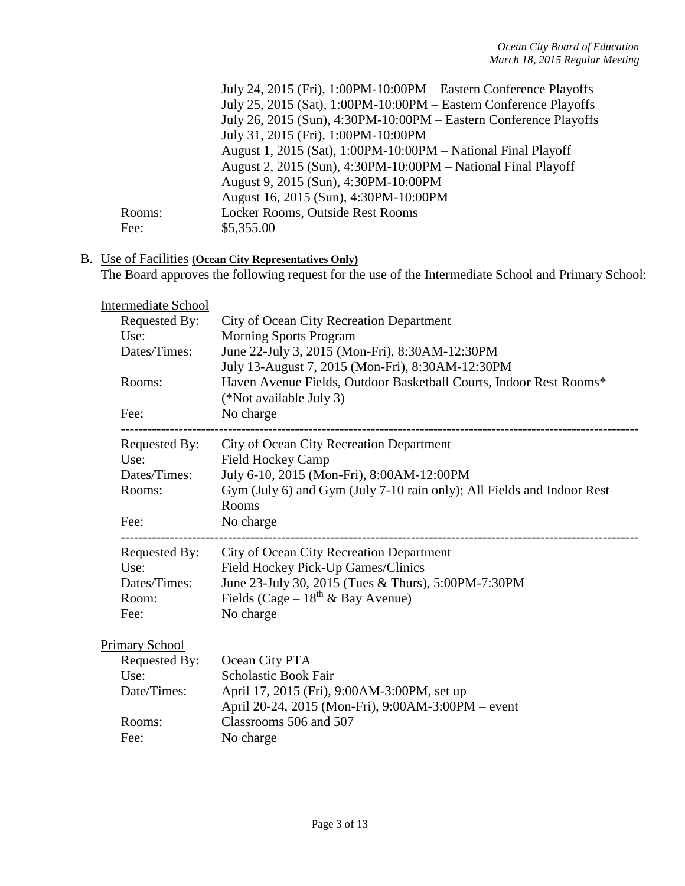|        | July 24, 2015 (Fri), 1:00PM-10:00PM – Eastern Conference Playoffs |
|--------|-------------------------------------------------------------------|
|        | July 25, 2015 (Sat), 1:00PM-10:00PM – Eastern Conference Playoffs |
|        | July 26, 2015 (Sun), 4:30PM-10:00PM – Eastern Conference Playoffs |
|        | July 31, 2015 (Fri), 1:00PM-10:00PM                               |
|        | August 1, 2015 (Sat), 1:00PM-10:00PM - National Final Playoff     |
|        | August 2, 2015 (Sun), 4:30PM-10:00PM – National Final Playoff     |
|        | August 9, 2015 (Sun), 4:30PM-10:00PM                              |
|        | August 16, 2015 (Sun), 4:30PM-10:00PM                             |
| Rooms: | Locker Rooms, Outside Rest Rooms                                  |
| Fee:   | \$5,355.00                                                        |

#### B. Use of Facilities **(Ocean City Representatives Only)**

The Board approves the following request for the use of the Intermediate School and Primary School:

| Intermediate School |  |
|---------------------|--|
|---------------------|--|

| Requested By:<br>Use:<br>Dates/Times:<br>Rooms:<br>Fee: | City of Ocean City Recreation Department<br><b>Morning Sports Program</b><br>June 22-July 3, 2015 (Mon-Fri), 8:30AM-12:30PM<br>July 13-August 7, 2015 (Mon-Fri), 8:30AM-12:30PM<br>Haven Avenue Fields, Outdoor Basketball Courts, Indoor Rest Rooms*<br>(*Not available July 3)<br>No charge |
|---------------------------------------------------------|-----------------------------------------------------------------------------------------------------------------------------------------------------------------------------------------------------------------------------------------------------------------------------------------------|
| Requested By:                                           | City of Ocean City Recreation Department                                                                                                                                                                                                                                                      |
| Use:                                                    | <b>Field Hockey Camp</b>                                                                                                                                                                                                                                                                      |
| Dates/Times:                                            | July 6-10, 2015 (Mon-Fri), 8:00AM-12:00PM                                                                                                                                                                                                                                                     |
| Rooms:                                                  | Gym (July 6) and Gym (July 7-10 rain only); All Fields and Indoor Rest                                                                                                                                                                                                                        |
| Fee:                                                    | Rooms<br>No charge                                                                                                                                                                                                                                                                            |
| Requested By:                                           | City of Ocean City Recreation Department                                                                                                                                                                                                                                                      |
| Use:                                                    | Field Hockey Pick-Up Games/Clinics                                                                                                                                                                                                                                                            |
| Dates/Times:                                            | June 23-July 30, 2015 (Tues & Thurs), 5:00PM-7:30PM                                                                                                                                                                                                                                           |
| Room:                                                   | Fields (Cage $-18^{th}$ & Bay Avenue)                                                                                                                                                                                                                                                         |
| Fee:                                                    | No charge                                                                                                                                                                                                                                                                                     |
| <b>Primary School</b>                                   |                                                                                                                                                                                                                                                                                               |
| Requested By:                                           | Ocean City PTA                                                                                                                                                                                                                                                                                |
| Use:                                                    | <b>Scholastic Book Fair</b>                                                                                                                                                                                                                                                                   |
| Date/Times:                                             | April 17, 2015 (Fri), 9:00AM-3:00PM, set up                                                                                                                                                                                                                                                   |
|                                                         | April 20-24, 2015 (Mon-Fri), 9:00AM-3:00PM – event                                                                                                                                                                                                                                            |
| Rooms:                                                  | Classrooms 506 and 507                                                                                                                                                                                                                                                                        |
| Fee:                                                    | No charge                                                                                                                                                                                                                                                                                     |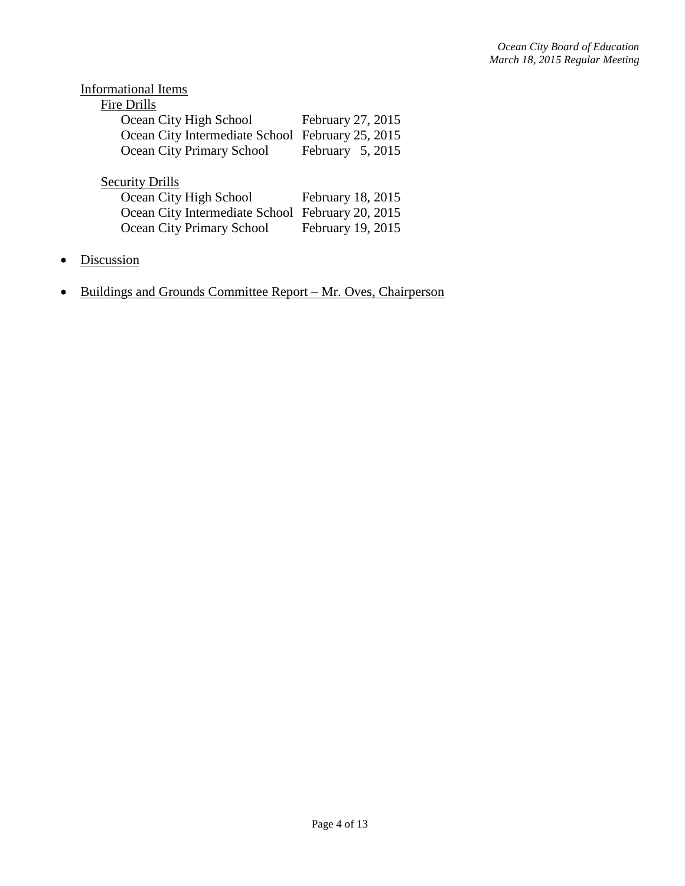| <b>Informational Items</b>       |                    |
|----------------------------------|--------------------|
| <b>Fire Drills</b>               |                    |
| Ocean City High School           | February 27, 2015  |
| Ocean City Intermediate School   | February 25, 2015  |
| Ocean City Primary School        | February $5, 2015$ |
|                                  |                    |
| <b>Security Drills</b>           |                    |
| Ocean City High School           | February 18, 2015  |
| Ocean City Intermediate School   | February 20, 2015  |
| <b>Ocean City Primary School</b> | February 19, 2015  |
|                                  |                    |

- Discussion
- Buildings and Grounds Committee Report Mr. Oves, Chairperson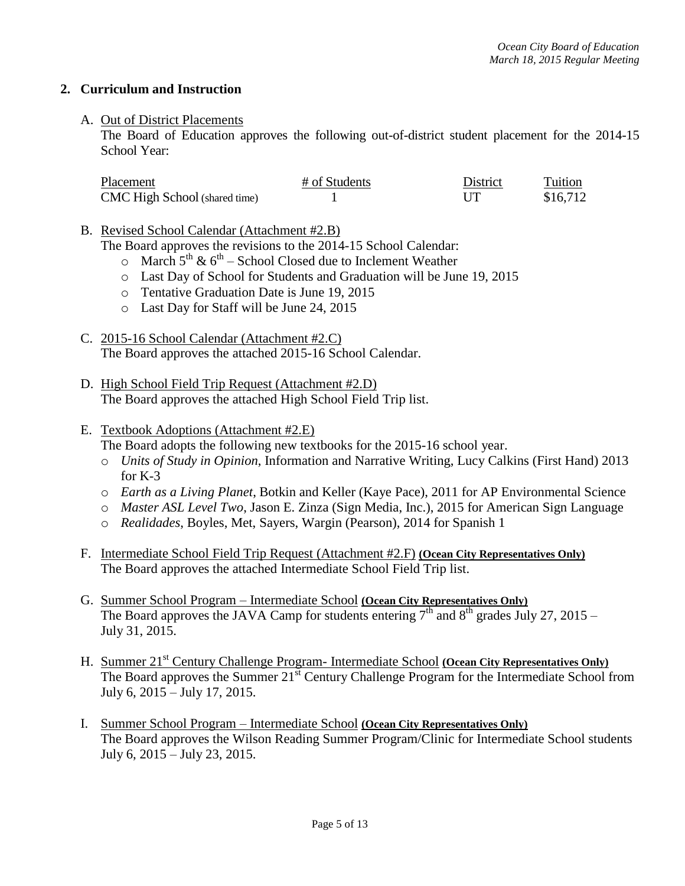## **2. Curriculum and Instruction**

### A. Out of District Placements

The Board of Education approves the following out-of-district student placement for the 2014-15 School Year:

| Placement                            | # of Students | District | Tuition  |
|--------------------------------------|---------------|----------|----------|
| <b>CMC</b> High School (shared time) |               |          | \$16,712 |

B. Revised School Calendar (Attachment #2.B)

The Board approves the revisions to the 2014-15 School Calendar:

- $\circ$  March 5<sup>th</sup> & 6<sup>th</sup> School Closed due to Inclement Weather
- o Last Day of School for Students and Graduation will be June 19, 2015
- o Tentative Graduation Date is June 19, 2015
- o Last Day for Staff will be June 24, 2015
- C. 2015-16 School Calendar (Attachment #2.C) The Board approves the attached 2015-16 School Calendar.
- D. High School Field Trip Request (Attachment #2.D) The Board approves the attached High School Field Trip list.

#### E. Textbook Adoptions (Attachment #2.E)

The Board adopts the following new textbooks for the 2015-16 school year.

- o *Units of Study in Opinion*, Information and Narrative Writing, Lucy Calkins (First Hand) 2013 for K-3
- o *Earth as a Living Planet*, Botkin and Keller (Kaye Pace), 2011 for AP Environmental Science
- o *Master ASL Level Two*, Jason E. Zinza (Sign Media, Inc.), 2015 for American Sign Language
- o *Realidades*, Boyles, Met, Sayers, Wargin (Pearson), 2014 for Spanish 1
- F. Intermediate School Field Trip Request (Attachment #2.F) **(Ocean City Representatives Only)** The Board approves the attached Intermediate School Field Trip list.
- G. Summer School Program Intermediate School **(Ocean City Representatives Only)** The Board approves the JAVA Camp for students entering  $7<sup>th</sup>$  and  $8<sup>th</sup>$  grades July 27, 2015 – July 31, 2015.
- H. Summer 21<sup>st</sup> Century Challenge Program- Intermediate School **(Ocean City Representatives Only)** The Board approves the Summer 21<sup>st</sup> Century Challenge Program for the Intermediate School from July 6, 2015 – July 17, 2015.
- I. Summer School Program Intermediate School **(Ocean City Representatives Only)** The Board approves the Wilson Reading Summer Program/Clinic for Intermediate School students July 6, 2015 – July 23, 2015.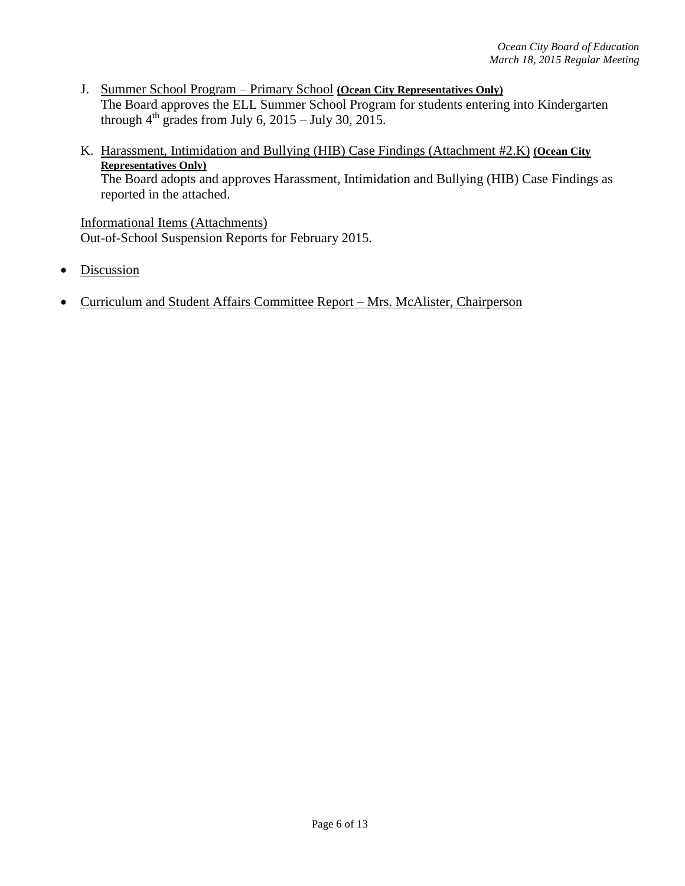- J. Summer School Program Primary School **(Ocean City Representatives Only)** The Board approves the ELL Summer School Program for students entering into Kindergarten through  $4^{th}$  grades from July 6, 2015 – July 30, 2015.
- K. Harassment, Intimidation and Bullying (HIB) Case Findings (Attachment #2.K) **(Ocean City Representatives Only)** The Board adopts and approves Harassment, Intimidation and Bullying (HIB) Case Findings as reported in the attached.

Informational Items (Attachments) Out-of-School Suspension Reports for February 2015.

- Discussion
- Curriculum and Student Affairs Committee Report Mrs. McAlister, Chairperson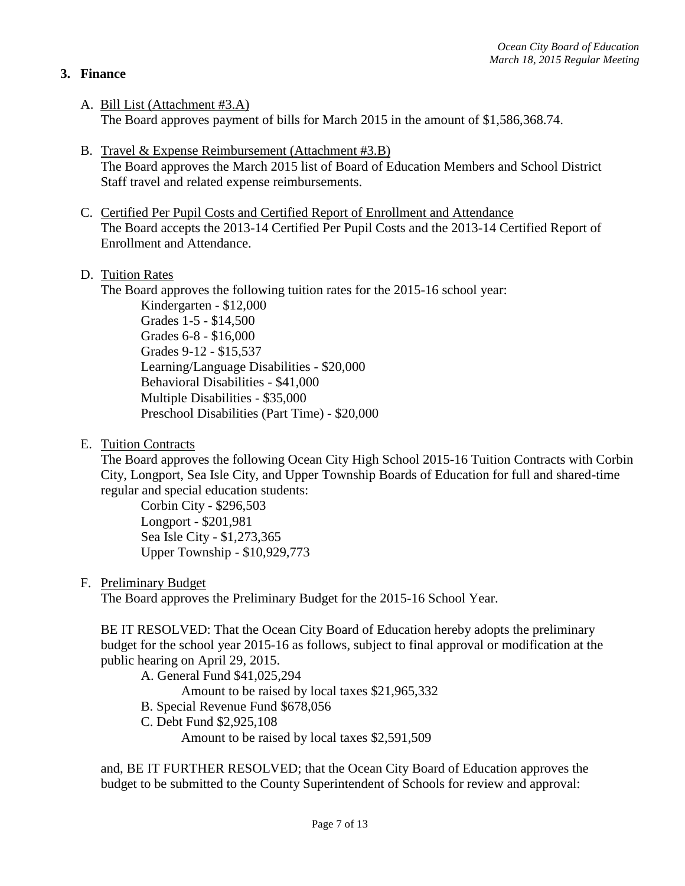# **3. Finance**

- A. Bill List (Attachment #3.A) The Board approves payment of bills for March 2015 in the amount of \$1,586,368.74.
- B. Travel & Expense Reimbursement (Attachment #3.B) The Board approves the March 2015 list of Board of Education Members and School District Staff travel and related expense reimbursements.
- C. Certified Per Pupil Costs and Certified Report of Enrollment and Attendance The Board accepts the 2013-14 Certified Per Pupil Costs and the 2013-14 Certified Report of Enrollment and Attendance.
- D. Tuition Rates

The Board approves the following tuition rates for the 2015-16 school year:

Kindergarten - \$12,000 Grades 1-5 - \$14,500 Grades 6-8 - \$16,000 Grades 9-12 - \$15,537 Learning/Language Disabilities - \$20,000 Behavioral Disabilities - \$41,000 Multiple Disabilities - \$35,000 Preschool Disabilities (Part Time) - \$20,000

E. Tuition Contracts

The Board approves the following Ocean City High School 2015-16 Tuition Contracts with Corbin City, Longport, Sea Isle City, and Upper Township Boards of Education for full and shared-time regular and special education students:

Corbin City - \$296,503 Longport - \$201,981 Sea Isle City - \$1,273,365 Upper Township - \$10,929,773

F. Preliminary Budget

The Board approves the Preliminary Budget for the 2015-16 School Year.

BE IT RESOLVED: That the Ocean City Board of Education hereby adopts the preliminary budget for the school year 2015-16 as follows, subject to final approval or modification at the public hearing on April 29, 2015.

A. General Fund \$41,025,294

Amount to be raised by local taxes \$21,965,332

- B. Special Revenue Fund \$678,056
- C. Debt Fund \$2,925,108

Amount to be raised by local taxes \$2,591,509

and, BE IT FURTHER RESOLVED; that the Ocean City Board of Education approves the budget to be submitted to the County Superintendent of Schools for review and approval: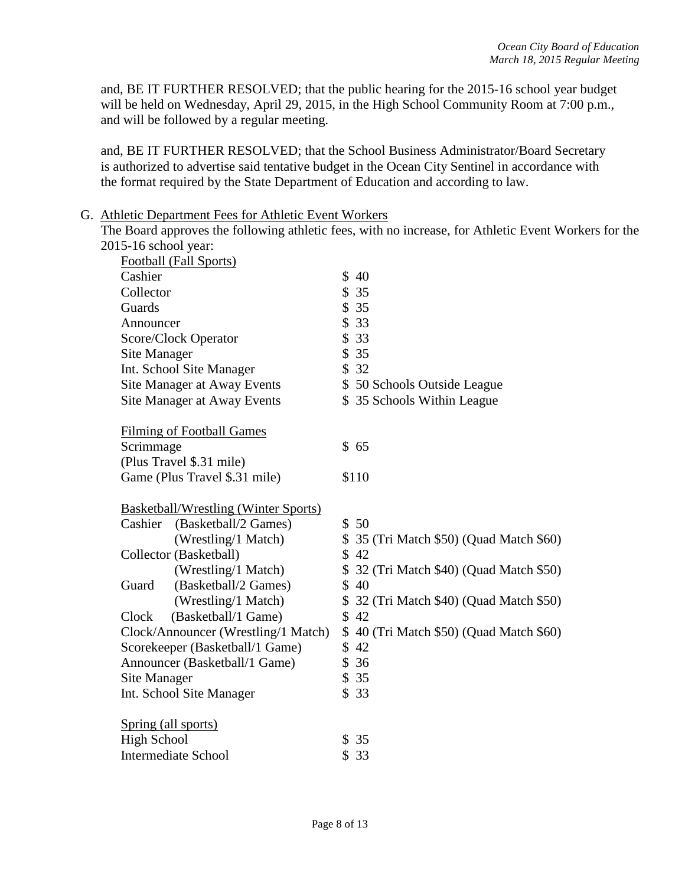and, BE IT FURTHER RESOLVED; that the public hearing for the 2015-16 school year budget will be held on Wednesday, April 29, 2015, in the High School Community Room at 7:00 p.m., and will be followed by a regular meeting.

and, BE IT FURTHER RESOLVED; that the School Business Administrator/Board Secretary is authorized to advertise said tentative budget in the Ocean City Sentinel in accordance with the format required by the State Department of Education and according to law.

#### G. Athletic Department Fees for Athletic Event Workers

The Board approves the following athletic fees, with no increase, for Athletic Event Workers for the 2015-16 school year:

| Football (Fall Sports)                      |                                          |
|---------------------------------------------|------------------------------------------|
| Cashier                                     | \$40                                     |
| Collector                                   | \$35                                     |
| Guards                                      | \$35                                     |
| Announcer                                   | \$33                                     |
| Score/Clock Operator                        | \$33                                     |
| <b>Site Manager</b>                         | \$35                                     |
| Int. School Site Manager                    | \$32                                     |
| Site Manager at Away Events                 | \$50 Schools Outside League              |
| Site Manager at Away Events                 | \$35 Schools Within League               |
| <b>Filming of Football Games</b>            |                                          |
| Scrimmage                                   | \$65                                     |
| (Plus Travel \$.31 mile)                    |                                          |
| Game (Plus Travel \$.31 mile)               | \$110                                    |
| <b>Basketball/Wrestling (Winter Sports)</b> |                                          |
| Cashier (Basketball/2 Games)                | \$50                                     |
| (Wrestling/1 Match)                         | \$ 35 (Tri Match \$50) (Quad Match \$60) |
| Collector (Basketball)                      | \$42                                     |
| (Wrestling/1 Match)                         | \$32 (Tri Match \$40) (Quad Match \$50)  |
| (Basketball/2 Games)<br>Guard               | \$40                                     |
| (Wrestling/1 Match)                         | \$32 (Tri Match \$40) (Quad Match \$50)  |
| (Basketball/1 Game)<br>Clock                | \$42                                     |
| Clock/Announcer (Wrestling/1 Match)         | \$40 (Tri Match \$50) (Quad Match \$60)  |
| Scorekeeper (Basketball/1 Game)             | \$42                                     |
| Announcer (Basketball/1 Game)               | \$36                                     |
| Site Manager                                | \$35                                     |
| Int. School Site Manager                    | \$33                                     |
| Spring (all sports)                         |                                          |
| <b>High School</b>                          | \$35                                     |
| <b>Intermediate School</b>                  | \$<br>33                                 |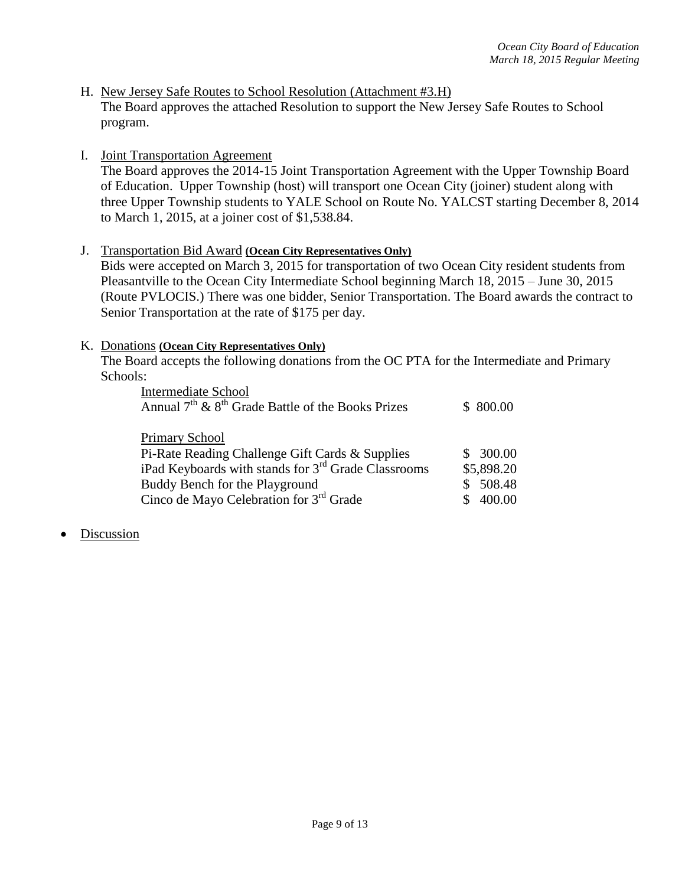- H. New Jersey Safe Routes to School Resolution (Attachment #3.H) The Board approves the attached Resolution to support the New Jersey Safe Routes to School program.
- I. Joint Transportation Agreement

The Board approves the 2014-15 Joint Transportation Agreement with the Upper Township Board of Education. Upper Township (host) will transport one Ocean City (joiner) student along with three Upper Township students to YALE School on Route No. YALCST starting December 8, 2014 to March 1, 2015, at a joiner cost of \$1,538.84.

J. Transportation Bid Award **(Ocean City Representatives Only)** Bids were accepted on March 3, 2015 for transportation of two Ocean City resident students from Pleasantville to the Ocean City Intermediate School beginning March 18, 2015 – June 30, 2015 (Route PVLOCIS.) There was one bidder, Senior Transportation. The Board awards the contract to Senior Transportation at the rate of \$175 per day.

#### K. Donations **(Ocean City Representatives Only)**

The Board accepts the following donations from the OC PTA for the Intermediate and Primary Schools:

| <b>Intermediate School</b>                                      |            |
|-----------------------------------------------------------------|------------|
| Annual $7th$ & $8th$ Grade Battle of the Books Prizes           | \$800.00   |
|                                                                 |            |
| Primary School                                                  |            |
| Pi-Rate Reading Challenge Gift Cards & Supplies                 | \$300.00   |
| iPad Keyboards with stands for 3 <sup>rd</sup> Grade Classrooms | \$5,898.20 |
| Buddy Bench for the Playground                                  | 508.48     |
| Cinco de Mayo Celebration for 3rd Grade                         | 400.00     |

**Discussion**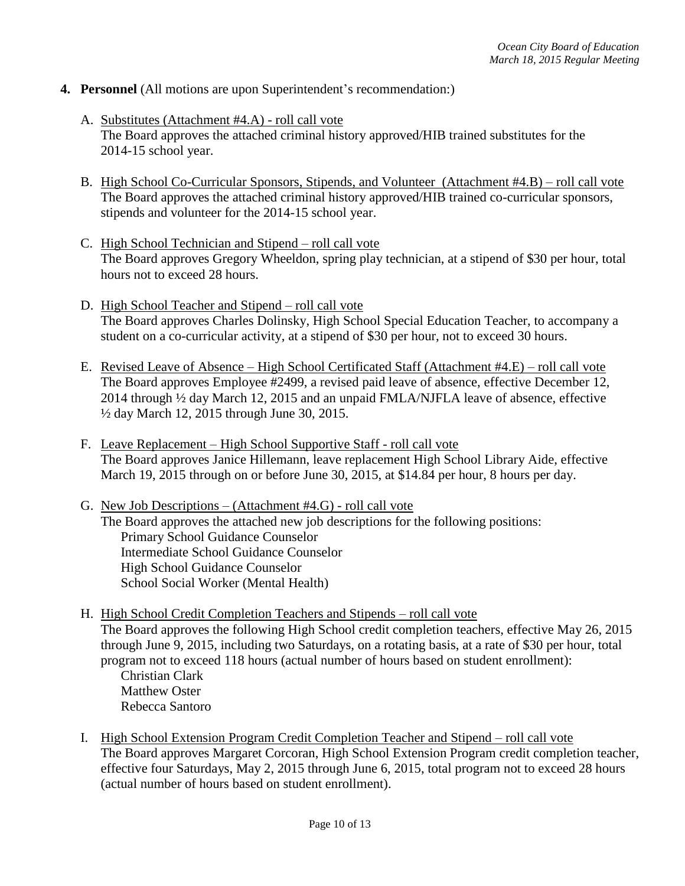- **4. Personnel** (All motions are upon Superintendent's recommendation:)
	- A. Substitutes (Attachment #4.A) roll call vote The Board approves the attached criminal history approved/HIB trained substitutes for the 2014-15 school year.
	- B. High School Co-Curricular Sponsors, Stipends, and Volunteer (Attachment #4.B) roll call vote The Board approves the attached criminal history approved/HIB trained co-curricular sponsors, stipends and volunteer for the 2014-15 school year.
	- C. High School Technician and Stipend roll call vote The Board approves Gregory Wheeldon, spring play technician, at a stipend of \$30 per hour, total hours not to exceed 28 hours.
	- D. High School Teacher and Stipend roll call vote The Board approves Charles Dolinsky, High School Special Education Teacher, to accompany a student on a co-curricular activity, at a stipend of \$30 per hour, not to exceed 30 hours.
	- E. Revised Leave of Absence High School Certificated Staff (Attachment #4.E) roll call vote The Board approves Employee #2499, a revised paid leave of absence, effective December 12, 2014 through ½ day March 12, 2015 and an unpaid FMLA/NJFLA leave of absence, effective ½ day March 12, 2015 through June 30, 2015.
	- F. Leave Replacement High School Supportive Staff roll call vote The Board approves Janice Hillemann, leave replacement High School Library Aide, effective March 19, 2015 through on or before June 30, 2015, at \$14.84 per hour, 8 hours per day.
	- G. New Job Descriptions (Attachment #4.G) roll call vote The Board approves the attached new job descriptions for the following positions: Primary School Guidance Counselor Intermediate School Guidance Counselor High School Guidance Counselor School Social Worker (Mental Health)
	- H. High School Credit Completion Teachers and Stipends roll call vote The Board approves the following High School credit completion teachers, effective May 26, 2015 through June 9, 2015, including two Saturdays, on a rotating basis, at a rate of \$30 per hour, total program not to exceed 118 hours (actual number of hours based on student enrollment): Christian Clark

Matthew Oster Rebecca Santoro

I. High School Extension Program Credit Completion Teacher and Stipend – roll call vote The Board approves Margaret Corcoran, High School Extension Program credit completion teacher, effective four Saturdays, May 2, 2015 through June 6, 2015, total program not to exceed 28 hours (actual number of hours based on student enrollment).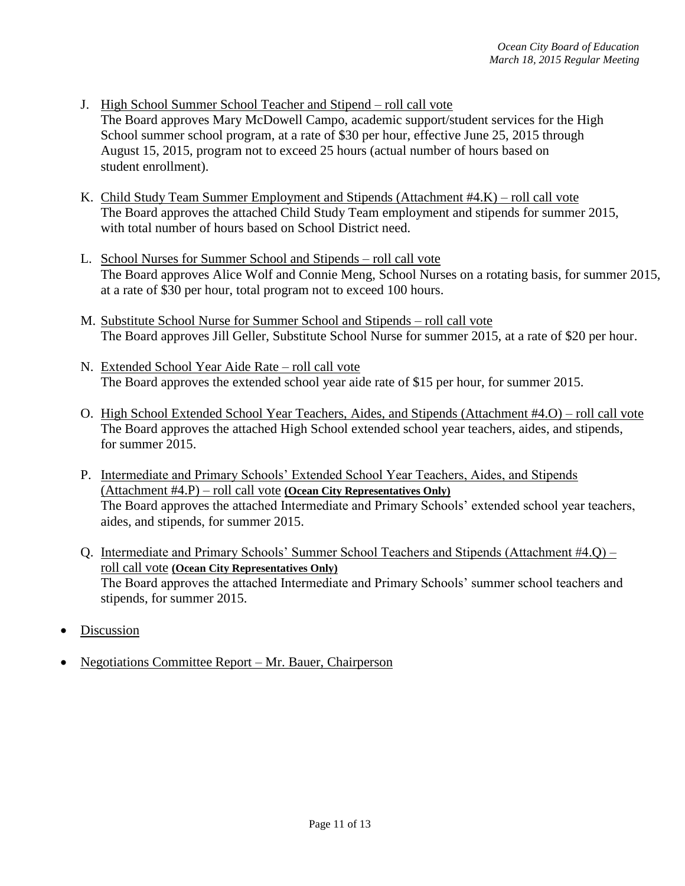- J. High School Summer School Teacher and Stipend roll call vote The Board approves Mary McDowell Campo, academic support/student services for the High School summer school program, at a rate of \$30 per hour, effective June 25, 2015 through August 15, 2015, program not to exceed 25 hours (actual number of hours based on student enrollment).
- K. Child Study Team Summer Employment and Stipends (Attachment #4.K) roll call vote The Board approves the attached Child Study Team employment and stipends for summer 2015, with total number of hours based on School District need.
- L. School Nurses for Summer School and Stipends roll call vote The Board approves Alice Wolf and Connie Meng, School Nurses on a rotating basis, for summer 2015, at a rate of \$30 per hour, total program not to exceed 100 hours.
- M. Substitute School Nurse for Summer School and Stipends roll call vote The Board approves Jill Geller, Substitute School Nurse for summer 2015, at a rate of \$20 per hour.
- N. Extended School Year Aide Rate roll call vote The Board approves the extended school year aide rate of \$15 per hour, for summer 2015.
- O. High School Extended School Year Teachers, Aides, and Stipends (Attachment #4.O) roll call vote The Board approves the attached High School extended school year teachers, aides, and stipends, for summer 2015.
- P. Intermediate and Primary Schools' Extended School Year Teachers, Aides, and Stipends (Attachment #4.P) – roll call vote **(Ocean City Representatives Only)** The Board approves the attached Intermediate and Primary Schools' extended school year teachers, aides, and stipends, for summer 2015.
- Q. Intermediate and Primary Schools' Summer School Teachers and Stipends (Attachment #4.Q) roll call vote **(Ocean City Representatives Only)** The Board approves the attached Intermediate and Primary Schools' summer school teachers and stipends, for summer 2015.
- Discussion
- Negotiations Committee Report Mr. Bauer, Chairperson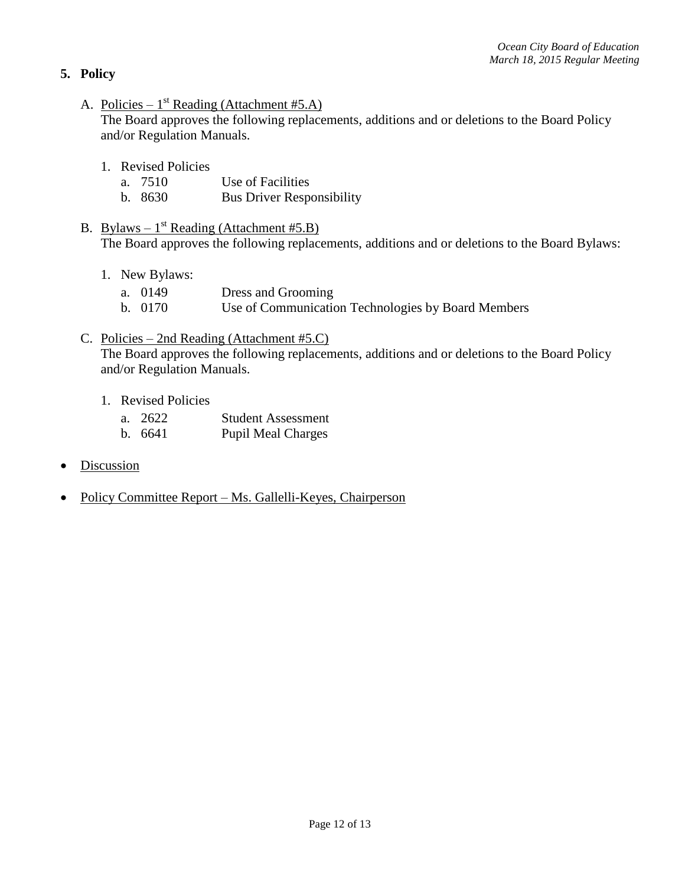# **5. Policy**

A. Policies –  $1^{st}$  Reading (Attachment #5.A)

The Board approves the following replacements, additions and or deletions to the Board Policy and/or Regulation Manuals.

- 1. Revised Policies
	- a. 7510 Use of Facilities
	- b. 8630 Bus Driver Responsibility
- B. Bylaws  $1^{st}$  Reading (Attachment #5.B) The Board approves the following replacements, additions and or deletions to the Board Bylaws:
	- 1. New Bylaws:
		- a. 0149 Dress and Grooming
		- b. 0170 Use of Communication Technologies by Board Members
- C. Policies 2nd Reading (Attachment #5.C)

The Board approves the following replacements, additions and or deletions to the Board Policy and/or Regulation Manuals.

- 1. Revised Policies
	- a. 2622 Student Assessment
	- b. 6641 Pupil Meal Charges
- **Discussion**
- Policy Committee Report Ms. Gallelli-Keyes, Chairperson